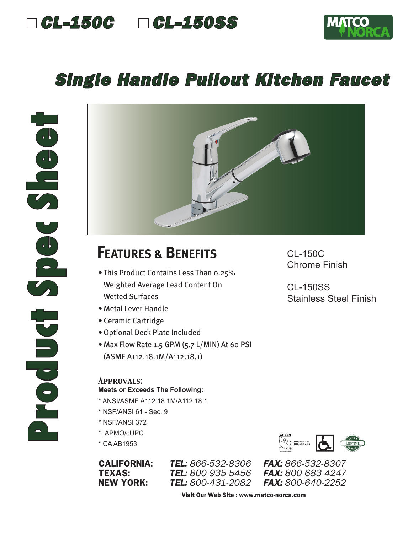



### *Single Handle Pullout Kitchen Faucet*



# **FEATURES & BENEFITS**

- This Product Contains Less Than 0.25% Weighted Average Lead Content On Wetted Surfaces
- Metal Lever Handle
- Ceramic Cartridge
- •Optional Deck Plate Included
- Max Flow Rate 1.5 GPM (5.7 L/MIN) At 60 PSI (ASME A112.18.1M/A112.18.1)

#### *Approvals:*

#### **Meets or Exceeds The Following:**

- \* ANSI/ASME A112.18.1M/A112.18.1
- \* NSF/ANSI 61 Sec. 9
- \* NSF/ANSI 372
- \* IAPMO/cUPC
- \* CA AB1953

**TEL:** 800-935-5456

**Water Efficiency NSF/ANSI 372 NSF/ANSI 61-9**

CALIFORNIA: *TEL: 866-532-8306 FAX: 866-532-8307* NEW YORK: *TEL: 800-431-2082 FAX: 800-640-2252*

Visit Our Web Site : www.matco-norca.com

CL-150C Chrome Finish

CL-150SS Stainless Steel Finish